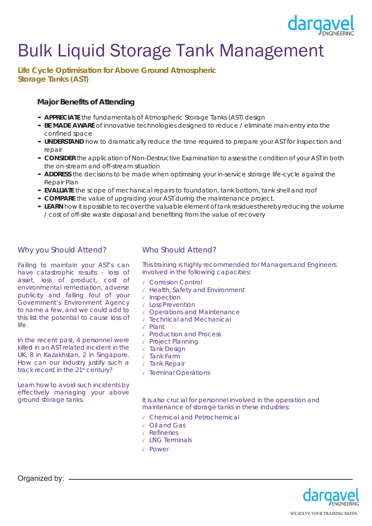

# Bulk Liquid Storage Tank Management

**Life Cycle Optimisation for Above Ground Atmospheric Storage Tanks (AST)**

# **Major Benefits of Attending**

- **APPRECIATE** the fundamentals of Atmospheric Storage Tanks (AST) design
- **BE MADE AWARE** of innovative technologies designed to reduce / eliminate man-entry into the confined space
- **UNDERSTAND** how to dramatically reduce the time required to prepare your AST for inspection and repair
- **CONSIDER** the application of Non-Destructive Examination to assess the condition of your AST in both the on-stream and off-stream situation
- **ADDRESS** the decisions to be made when optimising your in-service storage life-cycle against the Repair Plan
- **EVALUATE** the scope of mechanical repairs to foundation, tank bottom, tank shell and roof
- **COMPARE** the value of upgrading your AST during the maintenance project.
- **LEARN** how it is possible to recover the valuable element of tank residues thereby reducing the volume / cost of off-site waste disposal and benefiting from the value of recovery

# Why you Should Attend?

Failing to maintain your AST's can have catastrophic results: - loss of asset, loss of product, cost of environmental remediation, adverse publicity and falling foul of your Government's Environment Agency to name a few, and we could add to this list the potential to cause loss of life.

In the recent past, 4 personnel were killed in an AST related incident in the UK, 8 in Kazakhstan, 2 in Singapore. How can our industry justify such a track record in the 21<sup>st</sup> century?

Learn how to avoid such incidents by effectively managing your above ground storage tanks.

# Who Should Attend?

This training is highly recommended for Managers and Engineers involved in the following capacities:

- ✓ Corrosion Control
- ✓ Health, Safety and Environment
- ✓ Inspection
- ✓ Loss Prevention
- ✓ Operations and Maintenance
- ✓ Technical and Mechanical
- ✓ Plant
- ✓ Production and Process
- ✓ Project Planning
- ✓ Tank Design
- ✓ Tank Farm
- ✓ Tank Repair
- ✓ Terminal Operations

It is also crucial for personnel involved in the operation and maintenance of storage tanks in these industries:

- ✓ Chemical and Petrochemical
- ✓ Oil and Gas
- ✓ Refineries
- ✓ LNG Terminals
- ✓ Power



Organized by: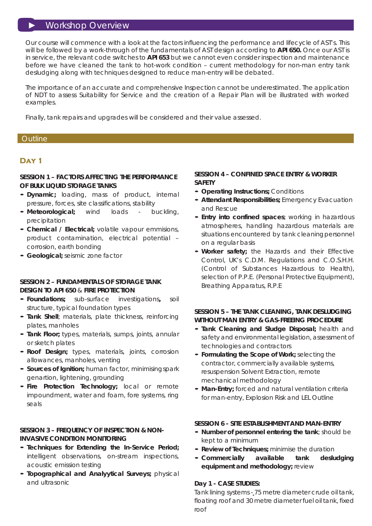# ► Workshop Overview

Our course will commence with a look at the factors influencing the performance and lifecycle of AST's. This will be followed by a work-through of the fundamentals of AST design according to **API 650.** Once our AST is in service, the relevant code switches to **API 653** but we cannot even consider inspection and maintenance before we have cleaned the tank to hot-work condition – current methodology for non-man entry tank desludging along with techniques designed to reduce man-entry will be debated.

The importance of an accurate and comprehensive Inspection cannot be underestimated. The application of NDT to assess Suitability for Service and the creation of a Repair Plan will be illustrated with worked examples.

Finally, tank repairs and upgrades will be considered and their value assessed.

# Outline

# **Day 1**

## **SESSION 1 – FACTORS AFFECTING THE PERFORMANCE OF BULK LIQUID STORAGE TANKS**

- **Dynamic;** loading, mass of product, internal
- pressure, forces, site classifications, stability **Meteorological;** wind loads buckling, precipitation
- **Chemical / Electrical;** volatile vapour emmisions, product contamination, electrical potential – corrosion, earth bonding
- **Geological;** seismic zone factor

# **SESSION 2 – FUNDAMENTALS OF STORAGE TANK DESIGN TO API 650** & **FIRE PROTECTION**

- **Foundations;** sub-surface investigations**,** soil structure, typical foundation types
- **Tank Shell**; materials, plate thickness, reinforcing plates, manholes
- **Tank Floor;** types, materials, sumps, joints, annular or sketch plates
- **Roof Design;** types, materials, joints, corrosion allowances, manholes, venting
- **Sources of Ignition;** human factor, minimising spark genartion, lightening, grounding
- **Fire Protection Technology;** local or remote impoundment, water and foam, fore systems, ring seals

# **SESSION 3 – FREQUENCY OF INSPECTION & NON-INVASIVE CONDITION MONITORING**

- **Techniques for Extending the In-Service Period;**  intelligent observations, on-stream inspections, acoustic emission testing
- **Topographical and Analyytical Surveys;** physical and ultrasonic

## **SESSION 4 – CONFINED SPACE ENTRY & WORKER SAFETY**

- **Operating Instructions;** Conditions
- **Attendant Responsibilities;** Emergency Evacuation and Rescue
- **Entry into confined spaces**; working in hazardous atmospheres, handling hazardous materials are situations encountered by tank cleaning personnel on a regular basis
- **Worker safety;** the Hazards and their Effective Control, UK's C.D.M. Regulations and C.O.S.H.H. (Control of Substances Hazardous to Health), selection of P.P.E. (Personal Protective Equipment), Breathing Apparatus, R.P.E

# **SESSION 5 – THE TANK CLEANING, TANK DESLUDGING WITHOUT MAN ENTRY & GAS-FREEING PROCEDURE**

- **Tank Cleaning and Sludge Disposal;** health and safety and environmental legislation, assessment of technologies and contractors
- **Formulating the Scope of Work;** selecting the contractor, commercially available systems, resuspension Solvent Extraction, remote mechanical methodology
- **Man-Entry;** forced and natural ventilation criteria for man-entry, Explosion Risk and LEL Outline

#### **SESSION 6 - SITE ESTABLISHMENT AND MAN-ENTRY**

- **Number of personnel entering the tank**; should be kept to a minimum
- **Review of Techniques;** minimise the duration
- **Commercially available tank desludging equipment and methodology;** review

#### **Day 1 - CASE STUDIES:**

Tank lining systems - 75 metre diameter crude oil tank, floating roof and 30 metre diameter fuel oil tank, fixed roof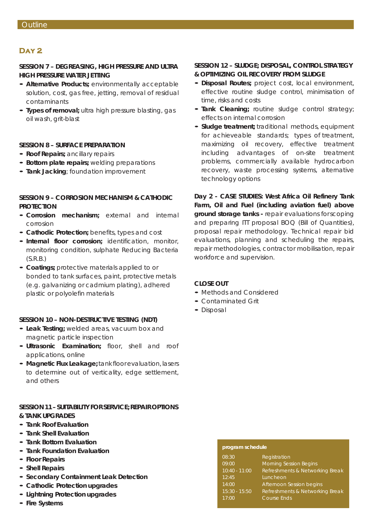# **Day 2**

### **SESSION 7 – DEGREASING, HIGH PRESSURE AND ULTRA HIGH PRESSURE WATER JETTING**

- **Alternative Products;** environmentally acceptable solution, cost, gas free, jetting, removal of residual contaminants
- **Types of removal;** ultra high pressure blasting, gas oil wash, grit-blast

#### **SESSION 8 – SURFACE PREPARATION**

- **Roof Repairs;** ancillary repairs
- **Bottom plate repairs;** welding preparations
- **Tank Jacking**; foundation improvement

## **SESSION 9 – CORROSION MECHANISM & CATHODIC PROTECTION**

- **Corrosion mechanism;** external and internal corrosion
- **Cathodic Protection;** benefits, types and cost
- **Internal floor corrosion;** identification, monitor, monitoring condition, sulphate Reducing Bacteria (S.R.B.)
- **Coatings;** protective materials applied to or bonded to tank surfaces, paint, protective metals (e.g. galvanizing or cadmium plating), adhered plastic or polyolefin materials

#### **SESSION 10 – NON-DESTRUCTIVE TESTING (NDT)**

- **Leak Testing;** welded areas, vacuum box and magnetic particle inspection
- **Ultrasonic Examination;** floor, shell and roof applications, online
- **Magnetic Flux Leakage;** tank floor evaluation, lasers to determine out of verticality, edge settlement, and others

#### **SESSION 11 – SUITABILITY FOR SERVICE; REPAIR OPTIONS & TANK UPGRADES**

- **Tank Roof Evaluation**
- **Tank Shell Evaluation**
- **Tank Bottom Evaluation**
- **Tank Foundation Evaluation**
- **Floor Repairs**
- **Shell Repairs**
- **Secondary Containment Leak Detection**
- **Cathodic Protection upgrades**
- **Lightning Protection upgrades**
- **Fire Systems**

# **SESSION 12 – SLUDGE; DISPOSAL, CONTROL STRATEGY & OPTIMIZING OIL RECOVERY FROM SLUDGE**

- **Disposal Routes;** project cost, local environment, effective routine sludge control, minimisation of time, risks and costs
- **Tank Cleaning;** routine sludge control strategy; effects on internal corrosion
- **Sludge treatment;** traditional methods, equipment for achieveable standards; types of treatment, maximizing oil recovery, effective treatment including advantages of on-site treatment problems, commercially available hydrocarbon recovery, waste processing systems, alternative technology options

**Day 2 - CASE STUDIES: West Africa Oil Refinery Tank Farm, Oil and Fuel (including aviation fuel) above ground storage tanks -** repair evaluations for scoping and preparing ITT proposal BOQ (Bill of Quantities), proposal repair methodology. Technical repair bid evaluations, planning and scheduling the repairs, repair methodologies, contractor mobilisation, repair workforce and supervision.

### **CLOSE OUT**

- Methods and Considered
- Contaminated Grit
- Disposal

#### **program schedule**

| 08:30           | Registration                    |
|-----------------|---------------------------------|
| 09:00           | <b>Morning Session Begins</b>   |
| $10:40 - 11:00$ | Refreshments & Networking Break |
| 12:45           | Luncheon                        |
| 14:00           | Afternoon Session begins        |
| $15:30 - 15:50$ | Refreshments & Networking Break |
| 17:00           | <b>Course Ends</b>              |
|                 |                                 |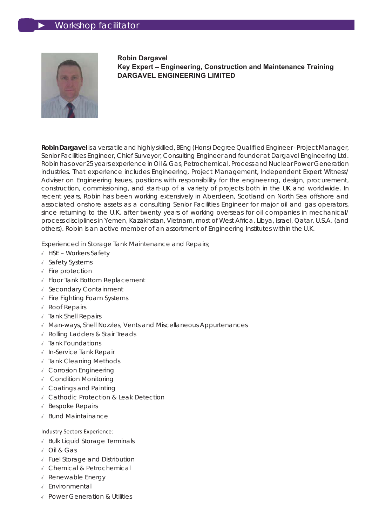

**Robin Dargavel Key Expert – Engineering, Construction and Maintenance Training DARGAVEL ENGINEERING LIMITED**

**Robin Dargavel** is a versatile and highly skilled, BEng (Hons) Degree Qualifi ed Engineer - Project Manager, Senior Facilities Engineer, Chief Surveyor, Consulting Engineer and founder at Dargavel Engineering Ltd. Robin has over 25 years experience in Oil & Gas, Petrochemical, Process and Nuclear Power Generation industries. That experience includes Engineering, Project Management, Independent Expert Witness/ Adviser on Engineering Issues, positions with responsibility for the engineering, design, procurement, construction, commissioning, and start-up of a variety of projects both in the UK and worldwide. In recent years, Robin has been working extensively in Aberdeen, Scotland on North Sea offshore and associated onshore assets as a consulting Senior Facilities Engineer for major oil and gas operators, since returning to the U.K. after twenty years of working overseas for oil companies in mechanical/ process disciplines in Yemen, Kazakhstan, Vietnam, most of West Africa, Libya, Israel, Qatar, U.S.A. (and others). Robin is an active member of an assortment of Engineering Institutes within the U.K.

Experienced in Storage Tank Maintenance and Repairs;

- ✓ HSE Workers Safety
- ✓ Safety Systems
- ✓ Fire protection
- ✓ Floor Tank Bottom Replacement
- ✓ Secondary Containment
- ✓ Fire Fighting Foam Systems
- ✓ Roof Repairs
- ✓ Tank Shell Repairs
- ✓ Man-ways, Shell Nozzles, Vents and Miscellaneous Appurtenances
- ✓ Rolling Ladders & Stair Treads
- ✓ Tank Foundations
- ✓ In-Service Tank Repair
- ✓ Tank Cleaning Methods
- ✓ Corrosion Engineering
- ✓ Condition Monitoring
- ✓ Coatings and Painting
- ✓ Cathodic Protection & Leak Detection
- ✓ Bespoke Repairs
- ✓ Bund Maintainance

#### Industry Sectors Experience:

- ✓ Bulk Liquid Storage Terminals
- ✓ Oil & Gas
- ✓ Fuel Storage and Distribution
- ✓ Chemical & Petrochemical
- ✓ Renewable Energy
- ✓ Environmental
- ✓ Power Generation & Utilities